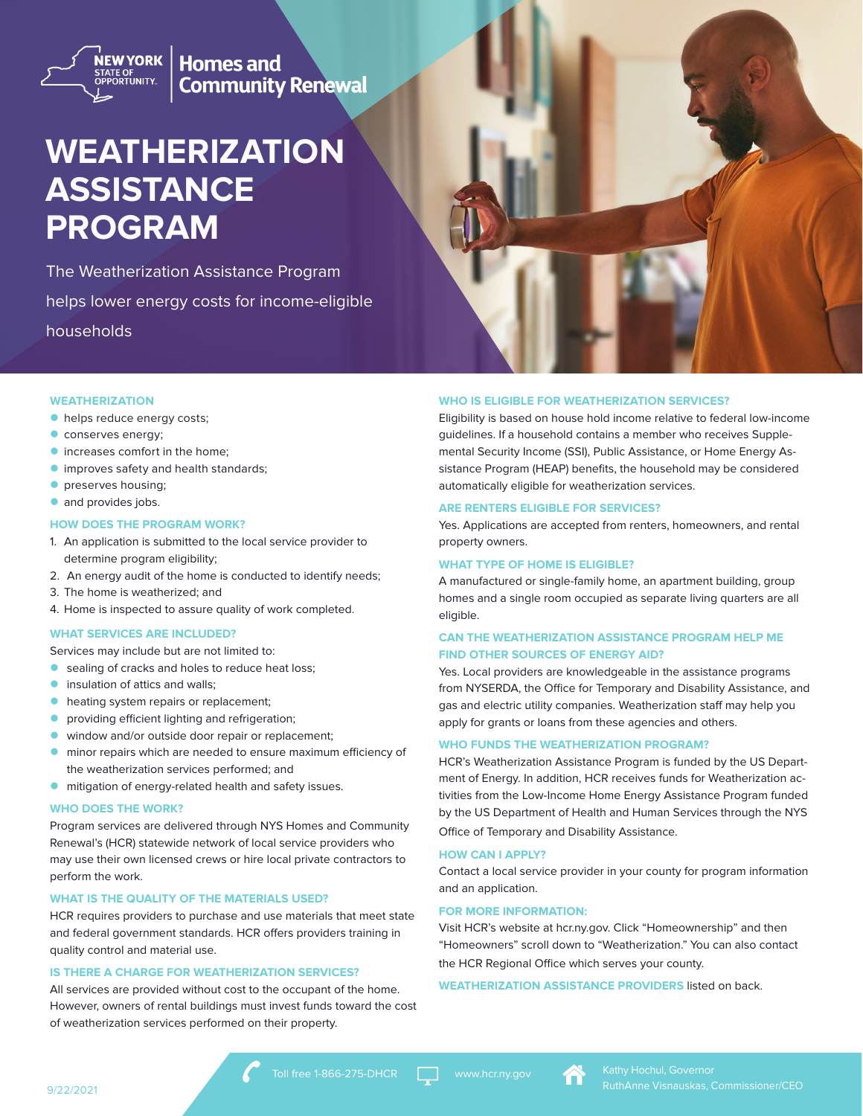**NEW YORK | Homes and<br>
SEARE OF ORK | Homes and<br>
DEPORTUNITY. | Community Renewal** 

# **WEATHERIZATION ASSISTANCE PROGRAM**

The Weatherization Assistance Program helps lower energy costs for income-eligible households

#### **WEATHERIZATION**

- helps reduce energy costs;
- conserves energy;
- **•** increases comfort in the home:
- **improves safety and health standards;**
- **preserves housing;**
- **and provides jobs.**

#### **HOW DOES THE PROGRAM WORK?**

- 1. An application is submitted to the local service provider to determine program eligibility;
- 2. An energy audit of the home is conducted to identify needs;
- 3. The home is weatherized; and
- 4. Home is inspected to assure quality of work completed.

#### **WHAT SERVICES ARE INCLUDED?**

Services may include but are not limited to:

- **o** sealing of cracks and holes to reduce heat loss;
- **•** insulation of attics and walls:
- **heating system repairs or replacement;**
- **•** providing efficient lighting and refrigeration;
- window and/or outside door repair or replacement;
- minor repairs which are needed to ensure maximum efficiency of the weatherization services performed; and
- **•** mitigation of energy-related health and safety issues.

#### **WHO DOES THE WORK?**

Program services are delivered through NYS Homes and Community Renewal's (HCR) statewide network of local service providers who may use their own licensed crews or hire local private contractors to perform the work.

### **WHAT IS THE QUALITY OF THE MATERIALS USED?**

HCR requires providers to purchase and use materials that meet state and federal government standards. HCR offers providers training in quality control and material use.

#### **IS THERE A CHARGE FOR WEATHERIZATION SERVICES?**

All services are provided without cost to the occupant of the home. However, owners of rental buildings must invest funds toward the cost of weatherization services performed on their property.



Eligibility is based on house hold income relative to federal low-income guidelines. If a household contains a member who receives Supplemental Security Income (SSI), Public Assistance, or Home Energy Assistance Program (HEAP) benefits, the household may be considered automatically eligible for weatherization services.

#### **ARE RENTERS ELIGIBLE FOR SERVICES?**

Yes. Applications are accepted from renters, homeowners, and rental property owners.

#### **WHAT TYPE OF HOME IS ELIGIBLE?**

A manufactured or single-family home, an apartment building, group homes and a single room occupied as separate living quarters are all eligible.

### **CAN THE WEATHERIZATION ASSISTANCE PROGRAM HELP ME FIND OTHER SOURCES OF ENERGY AID?**

Yes. Local providers are knowledgeable in the assistance programs from NYSERDA, the Office for Temporary and Disability Assistance, and gas and electric utility companies. Weatherization staff may help you apply for grants or loans from these agencies and others.

#### **WHO FUNDS THE WEATHERIZATION PROGRAM?**

HCR's Weatherization Assistance Program is funded by the US Department of Energy. In addition, HCR receives funds for Weatherization activities from the Low-Income Home Energy Assistance Program funded by the US Department of Health and Human Services through the NYS Office of Temporary and Disability Assistance.

#### **HOW CAN I APPLY?**

Contact a local service provider in your county for program information and an application.

#### **FOR MORE INFORMATION:**

Visit HCR's website at hcr.ny.gov. Click "Homeownership" and then "Homeowners" scroll down to "Weatherization." You can also contact the HCR Regional Office which serves your county.

**WEATHERIZATION ASSISTANCE PROVIDERS** listed on back.